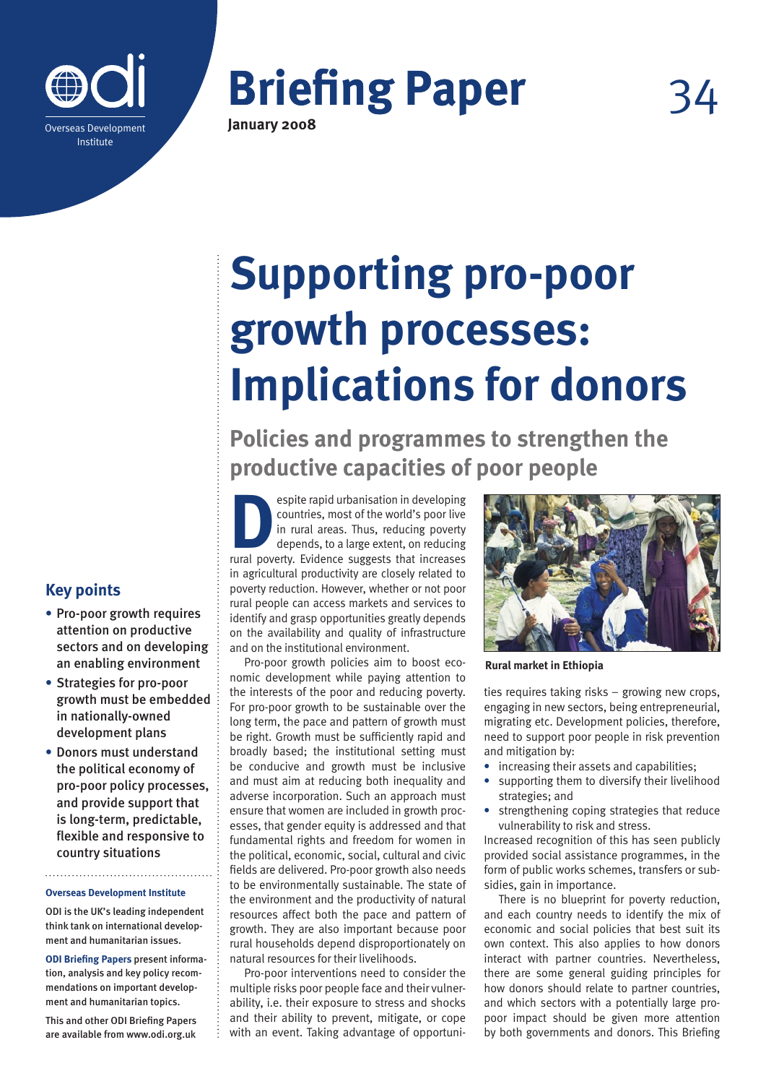

**Briefing Paper** 

**January 2008**

# **Supporting pro-poor growth processes: Implications for donors**

**Policies and programmes to strengthen the productive capacities of poor people**

**Example 19 Spite rapid urbanisation in developing<br>
countries, most of the world's poor live<br>
in rural areas. Thus, reducing poverty<br>
depends, to a large extent, on reducing<br>
rural poverty. Fvidence suggests that increases** countries, most of the world's poor live in rural areas. Thus, reducing poverty depends, to a large extent, on reducing rural poverty. Evidence suggests that increases in agricultural productivity are closely related to poverty reduction. However, whether or not poor rural people can access markets and services to identify and grasp opportunities greatly depends on the availability and quality of infrastructure and on the institutional environment.

Pro-poor growth policies aim to boost economic development while paying attention to the interests of the poor and reducing poverty. For pro-poor growth to be sustainable over the long term, the pace and pattern of growth must be right. Growth must be sufficiently rapid and broadly based; the institutional setting must be conducive and growth must be inclusive and must aim at reducing both inequality and adverse incorporation. Such an approach must ensure that women are included in growth processes, that gender equity is addressed and that fundamental rights and freedom for women in the political, economic, social, cultural and civic fields are delivered. Pro-poor growth also needs to be environmentally sustainable. The state of the environment and the productivity of natural resources affect both the pace and pattern of growth. They are also important because poor rural households depend disproportionately on natural resources for their livelihoods.

Pro-poor interventions need to consider the multiple risks poor people face and their vulnerability, i.e. their exposure to stress and shocks and their ability to prevent, mitigate, or cope with an event. Taking advantage of opportuni-



**Rural market in Ethiopia**

ties requires taking risks – growing new crops, engaging in new sectors, being entrepreneurial, migrating etc. Development policies, therefore, need to support poor people in risk prevention and mitigation by:

- **•** increasing their assets and capabilities;
- **•** supporting them to diversify their livelihood strategies; and
- **•** strengthening coping strategies that reduce vulnerability to risk and stress.

Increased recognition of this has seen publicly provided social assistance programmes, in the form of public works schemes, transfers or subsidies, gain in importance.

There is no blueprint for poverty reduction, and each country needs to identify the mix of economic and social policies that best suit its own context. This also applies to how donors interact with partner countries. Nevertheless, there are some general guiding principles for how donors should relate to partner countries, and which sectors with a potentially large propoor impact should be given more attention by both governments and donors. This Briefing

### **Key points**

- **•** Pro-poor growth requires attention on productive sectors and on developing an enabling environment
- **•** Strategies for pro-poor growth must be embedded in nationally-owned development plans
- **•** Donors must understand the political economy of pro-poor policy processes, and provide support that is long-term, predictable, flexible and responsive to country situations

#### **Overseas Development Institute**

ODI is the UK's leading independent think tank on international development and humanitarian issues.

**ODI Briefing Papers** present information, analysis and key policy recommendations on important development and humanitarian topics.

This and other ODI Briefing Papers are available from www.odi.org.uk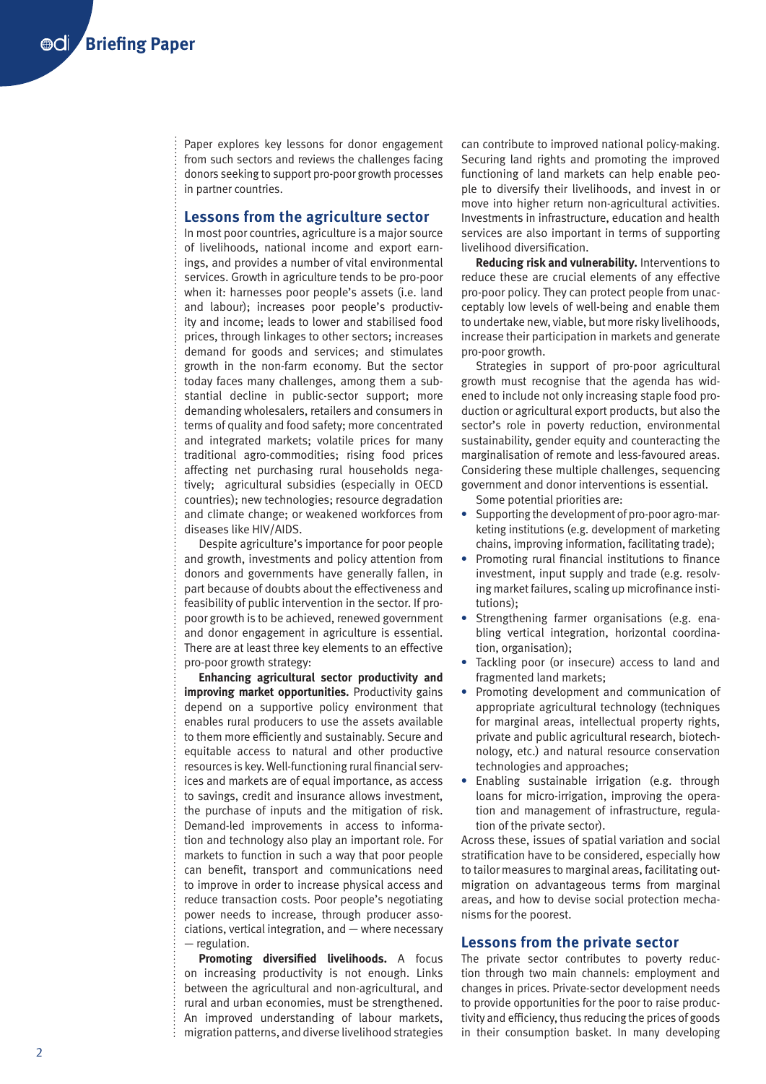Paper explores key lessons for donor engagement from such sectors and reviews the challenges facing donors seeking to support pro-poor growth processes in partner countries.

#### **Lessons from the agriculture sector**

In most poor countries, agriculture is a major source of livelihoods, national income and export earnings, and provides a number of vital environmental services. Growth in agriculture tends to be pro-poor when it: harnesses poor people's assets (i.e. land and labour); increases poor people's productivity and income; leads to lower and stabilised food prices, through linkages to other sectors; increases demand for goods and services; and stimulates growth in the non-farm economy. But the sector today faces many challenges, among them a substantial decline in public-sector support; more demanding wholesalers, retailers and consumers in terms of quality and food safety; more concentrated and integrated markets; volatile prices for many traditional agro-commodities; rising food prices affecting net purchasing rural households negatively; agricultural subsidies (especially in OECD countries); new technologies; resource degradation and climate change; or weakened workforces from diseases like HIV/AIDS.

Despite agriculture's importance for poor people and growth, investments and policy attention from donors and governments have generally fallen, in part because of doubts about the effectiveness and feasibility of public intervention in the sector. If propoor growth is to be achieved, renewed government and donor engagement in agriculture is essential. There are at least three key elements to an effective pro-poor growth strategy:

**Enhancing agricultural sector productivity and improving market opportunities.** Productivity gains depend on a supportive policy environment that enables rural producers to use the assets available to them more efficiently and sustainably. Secure and equitable access to natural and other productive resources is key. Well-functioning rural financial services and markets are of equal importance, as access to savings, credit and insurance allows investment, the purchase of inputs and the mitigation of risk. Demand-led improvements in access to information and technology also play an important role. For markets to function in such a way that poor people can benefit, transport and communications need to improve in order to increase physical access and reduce transaction costs. Poor people's negotiating power needs to increase, through producer associations, vertical integration, and — where necessary — regulation.

**Promoting diversified livelihoods.** A focus on increasing productivity is not enough. Links between the agricultural and non-agricultural, and rural and urban economies, must be strengthened. An improved understanding of labour markets, migration patterns, and diverse livelihood strategies

can contribute to improved national policy-making. Securing land rights and promoting the improved functioning of land markets can help enable people to diversify their livelihoods, and invest in or move into higher return non-agricultural activities. Investments in infrastructure, education and health services are also important in terms of supporting livelihood diversification.

**Reducing risk and vulnerability.** Interventions to reduce these are crucial elements of any effective pro-poor policy. They can protect people from unacceptably low levels of well-being and enable them to undertake new, viable, but more risky livelihoods, increase their participation in markets and generate pro-poor growth.

Strategies in support of pro-poor agricultural growth must recognise that the agenda has widened to include not only increasing staple food production or agricultural export products, but also the sector's role in poverty reduction, environmental sustainability, gender equity and counteracting the marginalisation of remote and less-favoured areas. Considering these multiple challenges, sequencing government and donor interventions is essential.

Some potential priorities are:

- **•** Supporting the development of pro-poor agro-marketing institutions (e.g. development of marketing chains, improving information, facilitating trade);
- **•** Promoting rural financial institutions to finance investment, input supply and trade (e.g. resolving market failures, scaling up microfinance institutions);
- **•** Strengthening farmer organisations (e.g. enabling vertical integration, horizontal coordination, organisation);
- **•** Tackling poor (or insecure) access to land and fragmented land markets;
- **•** Promoting development and communication of appropriate agricultural technology (techniques for marginal areas, intellectual property rights, private and public agricultural research, biotechnology, etc.) and natural resource conservation technologies and approaches;
- **•** Enabling sustainable irrigation (e.g. through loans for micro-irrigation, improving the operation and management of infrastructure, regulation of the private sector).

Across these, issues of spatial variation and social stratification have to be considered, especially how to tailor measures to marginal areas, facilitating outmigration on advantageous terms from marginal areas, and how to devise social protection mechanisms for the poorest.

#### **Lessons from the private sector**

The private sector contributes to poverty reduction through two main channels: employment and changes in prices. Private-sector development needs to provide opportunities for the poor to raise productivity and efficiency, thus reducing the prices of goods in their consumption basket. In many developing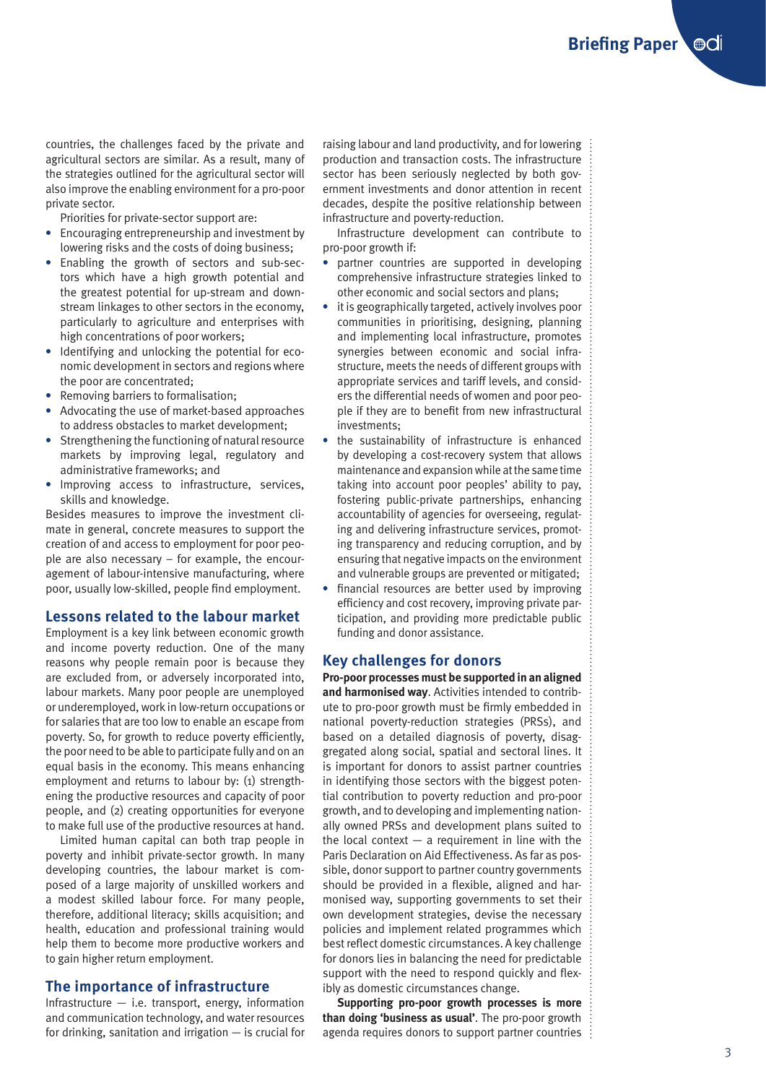countries, the challenges faced by the private and agricultural sectors are similar. As a result, many of the strategies outlined for the agricultural sector will also improve the enabling environment for a pro-poor private sector.

Priorities for private-sector support are:

- **•** Encouraging entrepreneurship and investment by lowering risks and the costs of doing business;
- **•** Enabling the growth of sectors and sub-sectors which have a high growth potential and the greatest potential for up-stream and downstream linkages to other sectors in the economy, particularly to agriculture and enterprises with high concentrations of poor workers;
- **•** Identifying and unlocking the potential for economic development in sectors and regions where the poor are concentrated;
- **•** Removing barriers to formalisation;
- **•** Advocating the use of market-based approaches to address obstacles to market development;
- **•** Strengthening the functioning of natural resource markets by improving legal, regulatory and administrative frameworks; and
- **•** Improving access to infrastructure, services, skills and knowledge.

Besides measures to improve the investment climate in general, concrete measures to support the creation of and access to employment for poor people are also necessary – for example, the encouragement of labour-intensive manufacturing, where poor, usually low-skilled, people find employment.

#### **Lessons related to the labour market**

Employment is a key link between economic growth and income poverty reduction. One of the many reasons why people remain poor is because they are excluded from, or adversely incorporated into, labour markets. Many poor people are unemployed or underemployed, work in low-return occupations or for salaries that are too low to enable an escape from poverty. So, for growth to reduce poverty efficiently, the poor need to be able to participate fully and on an equal basis in the economy. This means enhancing employment and returns to labour by: (1) strengthening the productive resources and capacity of poor people, and (2) creating opportunities for everyone to make full use of the productive resources at hand.

Limited human capital can both trap people in poverty and inhibit private-sector growth. In many developing countries, the labour market is composed of a large majority of unskilled workers and a modest skilled labour force. For many people, therefore, additional literacy; skills acquisition; and health, education and professional training would help them to become more productive workers and to gain higher return employment.

#### **The importance of infrastructure**

Infrastructure — i.e. transport, energy, information and communication technology, and water resources for drinking, sanitation and irrigation — is crucial for raising labour and land productivity, and for lowering production and transaction costs. The infrastructure sector has been seriously neglected by both government investments and donor attention in recent decades, despite the positive relationship between infrastructure and poverty-reduction.

Infrastructure development can contribute to pro-poor growth if:

- **•** partner countries are supported in developing comprehensive infrastructure strategies linked to other economic and social sectors and plans;
- **•** it is geographically targeted, actively involves poor communities in prioritising, designing, planning and implementing local infrastructure, promotes synergies between economic and social infrastructure, meets the needs of different groups with appropriate services and tariff levels, and considers the differential needs of women and poor people if they are to benefit from new infrastructural investments;
- **•** the sustainability of infrastructure is enhanced by developing a cost-recovery system that allows maintenance and expansion while at the same time taking into account poor peoples' ability to pay, fostering public-private partnerships, enhancing accountability of agencies for overseeing, regulating and delivering infrastructure services, promoting transparency and reducing corruption, and by ensuring that negative impacts on the environment and vulnerable groups are prevented or mitigated;
- **•** financial resources are better used by improving efficiency and cost recovery, improving private participation, and providing more predictable public funding and donor assistance.

#### **Key challenges for donors**

**Pro-poor processes must be supported in an aligned and harmonised way**. Activities intended to contribute to pro-poor growth must be firmly embedded in national poverty-reduction strategies (PRSs), and based on a detailed diagnosis of poverty, disaggregated along social, spatial and sectoral lines. It is important for donors to assist partner countries in identifying those sectors with the biggest potential contribution to poverty reduction and pro-poor growth, and to developing and implementing nationally owned PRSs and development plans suited to the local context  $-$  a requirement in line with the Paris Declaration on Aid Effectiveness. As far as possible, donor support to partner country governments should be provided in a flexible, aligned and harmonised way, supporting governments to set their own development strategies, devise the necessary policies and implement related programmes which best reflect domestic circumstances. A key challenge for donors lies in balancing the need for predictable support with the need to respond quickly and flexibly as domestic circumstances change.

**Supporting pro-poor growth processes is more than doing 'business as usual'**. The pro-poor growth agenda requires donors to support partner countries